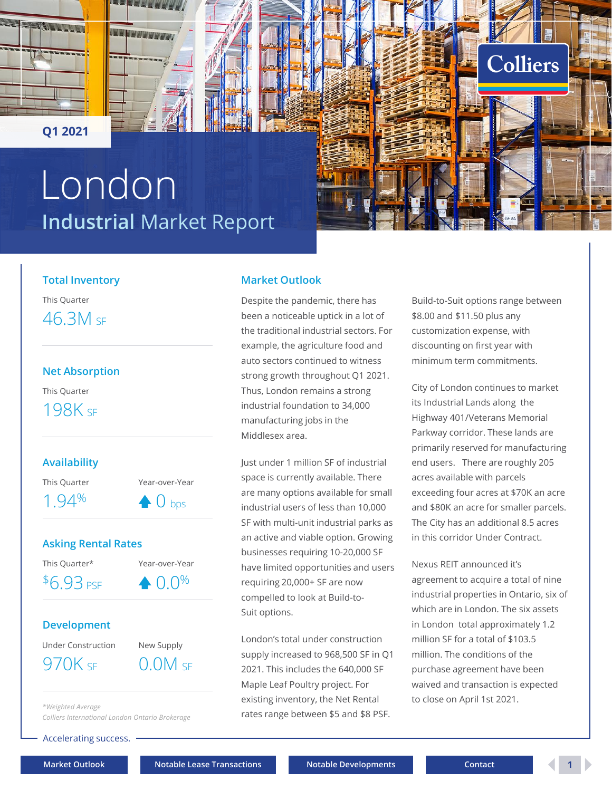<span id="page-0-0"></span>



**Q1 2021**

## **Industrial** Market Report London



#### **Total Inventory**

This Quarter 46.3M SF

## **Net Absorption** This Quarter 198K SF

## **Availability**

This Quarter Year-over-Year

 $1.94\%$   $\bullet$  0 bps

### **Asking Rental Rates**

This Quarter\* Year-over-Year

 $$6.93 \text{ }\mathrm{PSE}$ \rightarrow 0.0\%$ 

## **Development**

Under Construction New Supply  $970K$  SF  $0.0M$  SF

*\*Weighted Average*

*Colliers International London Ontario Brokerage*

Accelerating success.

### **Market Outlook**

Despite the pandemic, there has been a noticeable uptick in a lot of the traditional industrial sectors. For example, the agriculture food and auto sectors continued to witness strong growth throughout Q1 2021. Thus, London remains a strong industrial foundation to 34,000 manufacturing jobs in the Middlesex area.

Just under 1 million SF of industrial space is currently available. There are many options available for small industrial users of less than 10,000 SF with multi-unit industrial parks as an active and viable option. Growing businesses requiring 10-20,000 SF have limited opportunities and users requiring 20,000+ SF are now compelled to look at Build-to-Suit options.

London's total under construction supply increased to 968,500 SF in Q1 2021. This includes the 640,000 SF Maple Leaf Poultry project. For existing inventory, the Net Rental rates range between \$5 and \$8 PSF.

Build-to-Suit options range between \$8.00 and \$11.50 plus any customization expense, with discounting on first year with minimum term commitments.

City of London continues to market its Industrial Lands along the Highway 401/Veterans Memorial Parkway corridor. These lands are primarily reserved for manufacturing end users. There are roughly 205 acres available with parcels exceeding four acres at \$70K an acre and \$80K an acre for smaller parcels. The City has an additional 8.5 acres in this corridor Under Contract.

Nexus REIT announced it's agreement to acquire a total of nine industrial properties in Ontario, six of which are in London. The six assets in London total approximately 1.2 million SF for a total of \$103.5 million. The conditions of the purchase agreement have been waived and transaction is expected to close on April 1st 2021.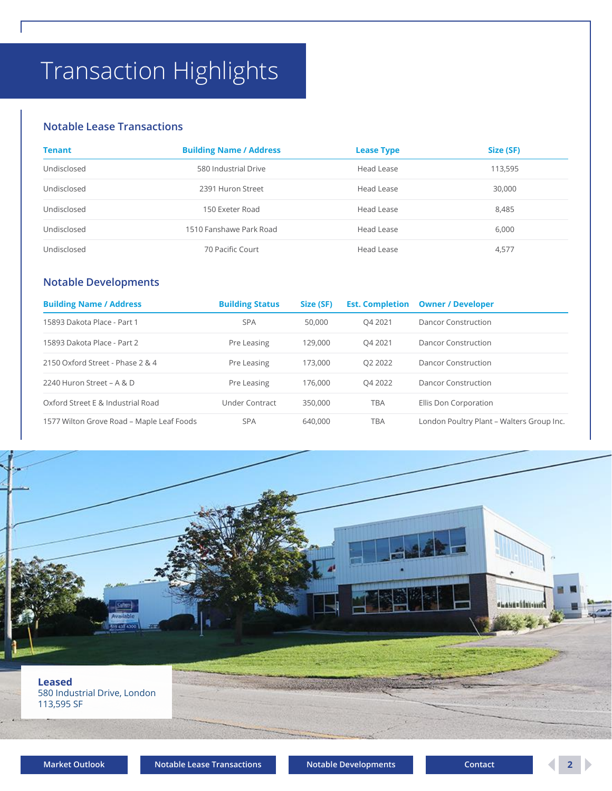## <span id="page-1-0"></span>Transaction Highlights

#### **Notable Lease Transactions**

| <b>Tenant</b> | <b>Building Name / Address</b> | <b>Lease Type</b> | Size (SF) |
|---------------|--------------------------------|-------------------|-----------|
| Undisclosed   | 580 Industrial Drive           | Head Lease        | 113,595   |
| Undisclosed   | 2391 Huron Street              | Head Lease        | 30,000    |
| Undisclosed   | 150 Exeter Road                | Head Lease        | 8,485     |
| Undisclosed   | 1510 Fanshawe Park Road        | Head Lease        | 6.000     |
| Undisclosed   | 70 Pacific Court               | Head Lease        | 4,577     |

## **Notable Developments**

| <b>Building Name / Address</b>            | <b>Building Status</b> | Size (SF) | <b>Est. Completion</b> | <b>Owner / Developer</b>                  |
|-------------------------------------------|------------------------|-----------|------------------------|-------------------------------------------|
| 15893 Dakota Place - Part 1               | <b>SPA</b>             | 50,000    | O4 2021                | Dancor Construction                       |
| 15893 Dakota Place - Part 2               | Pre Leasing            | 129,000   | O4 2021                | Dancor Construction                       |
| 2150 Oxford Street - Phase 2 & 4          | Pre Leasing            | 173,000   | O <sub>2</sub> 2022    | Dancor Construction                       |
| 2240 Huron Street – A & D                 | Pre Leasing            | 176,000   | O4 2022                | Dancor Construction                       |
| Oxford Street E & Industrial Road         | Under Contract         | 350,000   | TBA                    | Ellis Don Corporation                     |
| 1577 Wilton Grove Road - Maple Leaf Foods | <b>SPA</b>             | 640,000   | TBA                    | London Poultry Plant - Walters Group Inc. |